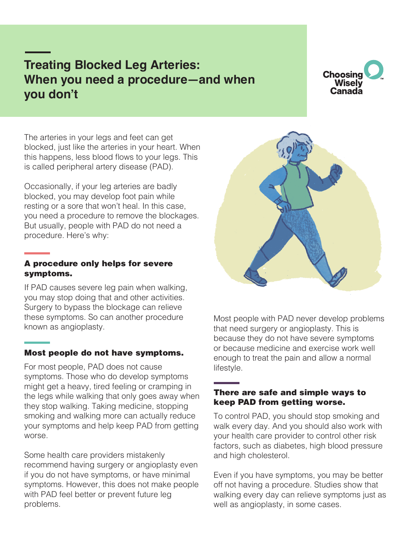# **Treating Blocked Leg Arteries: When you need a procedure—and when you don't**

**Choosing** Wisely Canada

The arteries in your legs and feet can get blocked, just like the arteries in your heart. When this happens, less blood flows to your legs. This is called peripheral artery disease (PAD).

Occasionally, if your leg arteries are badly blocked, you may develop foot pain while resting or a sore that won't heal. In this case, you need a procedure to remove the blockages. But usually, people with PAD do not need a procedure. Here's why:

#### A procedure only helps for severe symptoms.

If PAD causes severe leg pain when walking, you may stop doing that and other activities. Surgery to bypass the blockage can relieve these symptoms. So can another procedure known as angioplasty.

#### Most people do not have symptoms.

For most people, PAD does not cause symptoms. Those who do develop symptoms might get a heavy, tired feeling or cramping in the legs while walking that only goes away when they stop walking. Taking medicine, stopping smoking and walking more can actually reduce your symptoms and help keep PAD from getting worse.

Some health care providers mistakenly recommend having surgery or angioplasty even if you do not have symptoms, or have minimal symptoms. However, this does not make people with PAD feel better or prevent future leg problems.



Most people with PAD never develop problems that need surgery or angioplasty. This is because they do not have severe symptoms or because medicine and exercise work well enough to treat the pain and allow a normal lifestyle.

#### There are safe and simple ways to keep PAD from getting worse.

To control PAD, you should stop smoking and walk every day. And you should also work with your health care provider to control other risk factors, such as diabetes, high blood pressure and high cholesterol.

Even if you have symptoms, you may be better off not having a procedure. Studies show that walking every day can relieve symptoms just as well as angioplasty, in some cases.